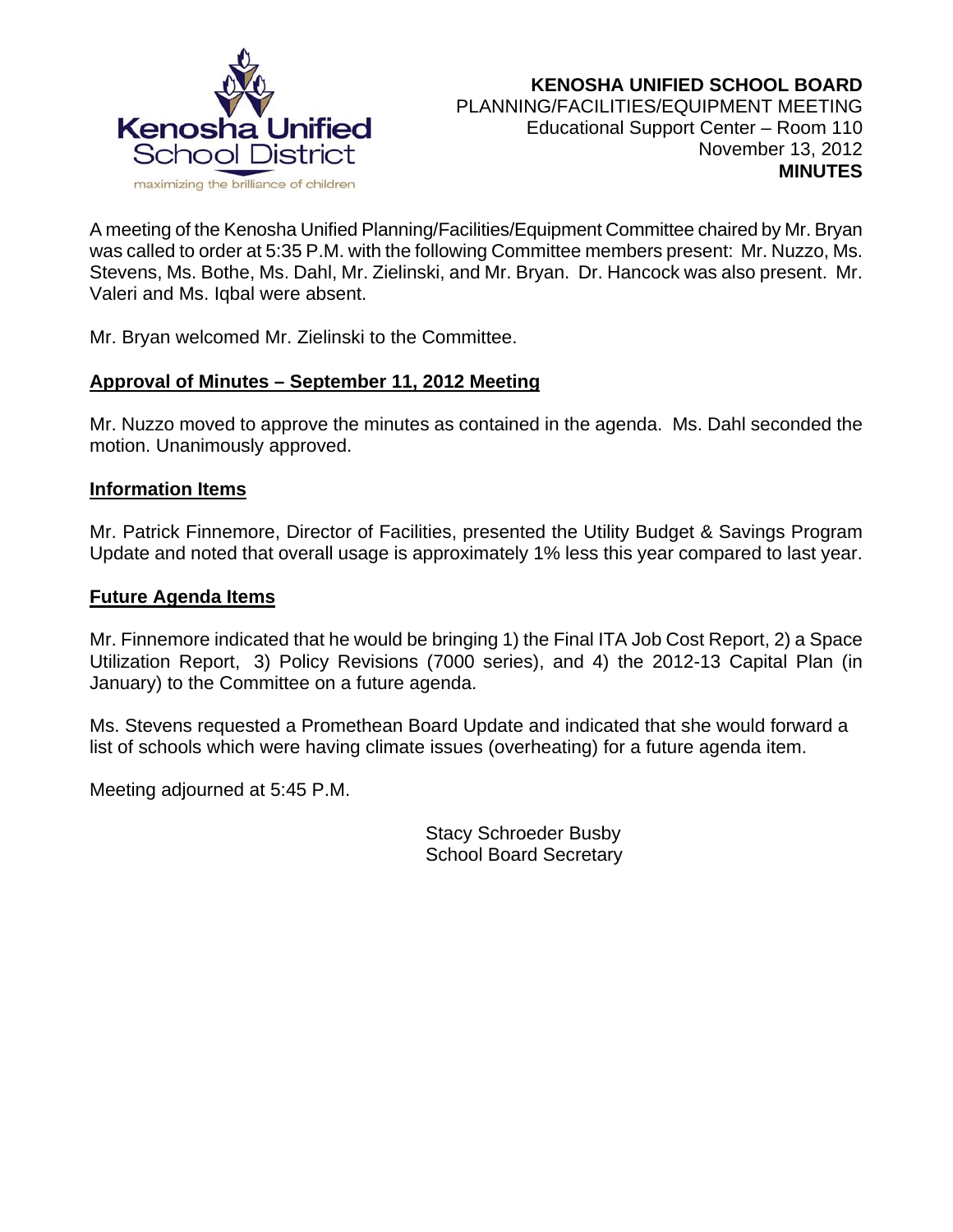

A meeting of the Kenosha Unified Planning/Facilities/Equipment Committee chaired by Mr. Bryan was called to order at 5:35 P.M. with the following Committee members present: Mr. Nuzzo, Ms. Stevens, Ms. Bothe, Ms. Dahl, Mr. Zielinski, and Mr. Bryan. Dr. Hancock was also present. Mr. Valeri and Ms. Iqbal were absent.

Mr. Bryan welcomed Mr. Zielinski to the Committee.

#### **Approval of Minutes – September 11, 2012 Meeting**

Mr. Nuzzo moved to approve the minutes as contained in the agenda. Ms. Dahl seconded the motion. Unanimously approved.

#### **Information Items**

Mr. Patrick Finnemore, Director of Facilities, presented the Utility Budget & Savings Program Update and noted that overall usage is approximately 1% less this year compared to last year.

#### **Future Agenda Items**

Mr. Finnemore indicated that he would be bringing 1) the Final ITA Job Cost Report, 2) a Space Utilization Report, 3) Policy Revisions (7000 series), and 4) the 2012-13 Capital Plan (in January) to the Committee on a future agenda.

Ms. Stevens requested a Promethean Board Update and indicated that she would forward a list of schools which were having climate issues (overheating) for a future agenda item.

Meeting adjourned at 5:45 P.M.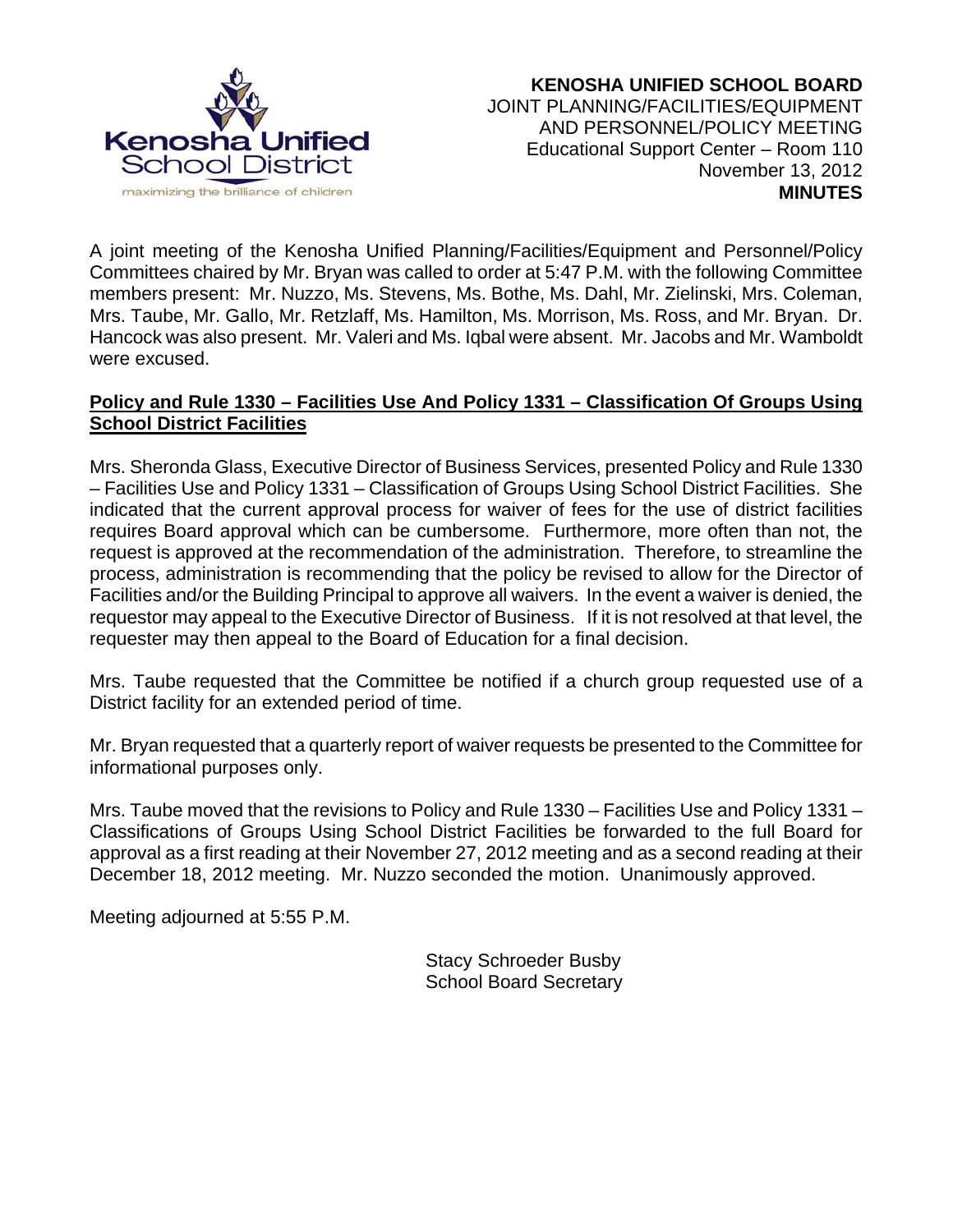

**KENOSHA UNIFIED SCHOOL BOARD** JOINT PLANNING/FACILITIES/EQUIPMENT AND PERSONNEL/POLICY MEETING Educational Support Center – Room 110 November 13, 2012 **MINUTES**

A joint meeting of the Kenosha Unified Planning/Facilities/Equipment and Personnel/Policy Committees chaired by Mr. Bryan was called to order at 5:47 P.M. with the following Committee members present: Mr. Nuzzo, Ms. Stevens, Ms. Bothe, Ms. Dahl, Mr. Zielinski, Mrs. Coleman, Mrs. Taube, Mr. Gallo, Mr. Retzlaff, Ms. Hamilton, Ms. Morrison, Ms. Ross, and Mr. Bryan. Dr. Hancock was also present. Mr. Valeri and Ms. Iqbal were absent. Mr. Jacobs and Mr. Wamboldt were excused.

## **Policy and Rule 1330 – Facilities Use And Policy 1331 – Classification Of Groups Using School District Facilities**

Mrs. Sheronda Glass, Executive Director of Business Services, presented Policy and Rule 1330 – Facilities Use and Policy 1331 – Classification of Groups Using School District Facilities. She indicated that the current approval process for waiver of fees for the use of district facilities requires Board approval which can be cumbersome. Furthermore, more often than not, the request is approved at the recommendation of the administration. Therefore, to streamline the process, administration is recommending that the policy be revised to allow for the Director of Facilities and/or the Building Principal to approve all waivers. In the event a waiver is denied, the requestor may appeal to the Executive Director of Business. If it is not resolved at that level, the requester may then appeal to the Board of Education for a final decision.

Mrs. Taube requested that the Committee be notified if a church group requested use of a District facility for an extended period of time.

Mr. Bryan requested that a quarterly report of waiver requests be presented to the Committee for informational purposes only.

Mrs. Taube moved that the revisions to Policy and Rule 1330 – Facilities Use and Policy 1331 – Classifications of Groups Using School District Facilities be forwarded to the full Board for approval as a first reading at their November 27, 2012 meeting and as a second reading at their December 18, 2012 meeting. Mr. Nuzzo seconded the motion. Unanimously approved.

Meeting adjourned at 5:55 P.M.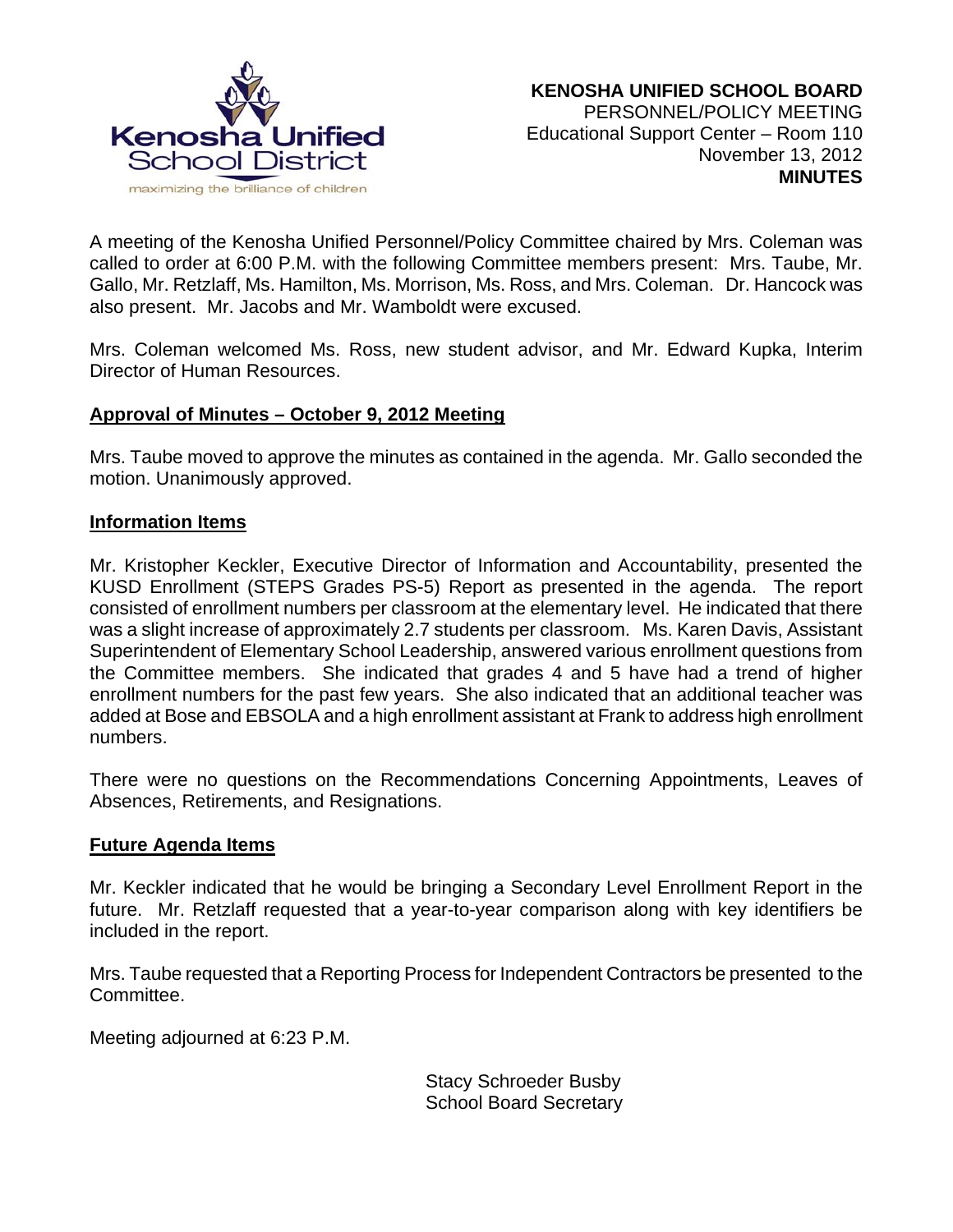

A meeting of the Kenosha Unified Personnel/Policy Committee chaired by Mrs. Coleman was called to order at 6:00 P.M. with the following Committee members present: Mrs. Taube, Mr. Gallo, Mr. Retzlaff, Ms. Hamilton, Ms. Morrison, Ms. Ross, and Mrs. Coleman. Dr. Hancock was also present. Mr. Jacobs and Mr. Wamboldt were excused.

Mrs. Coleman welcomed Ms. Ross, new student advisor, and Mr. Edward Kupka, Interim Director of Human Resources.

#### **Approval of Minutes – October 9, 2012 Meeting**

Mrs. Taube moved to approve the minutes as contained in the agenda. Mr. Gallo seconded the motion. Unanimously approved.

#### **Information Items**

Mr. Kristopher Keckler, Executive Director of Information and Accountability, presented the KUSD Enrollment (STEPS Grades PS-5) Report as presented in the agenda. The report consisted of enrollment numbers per classroom at the elementary level. He indicated that there was a slight increase of approximately 2.7 students per classroom. Ms. Karen Davis, Assistant Superintendent of Elementary School Leadership, answered various enrollment questions from the Committee members. She indicated that grades 4 and 5 have had a trend of higher enrollment numbers for the past few years. She also indicated that an additional teacher was added at Bose and EBSOLA and a high enrollment assistant at Frank to address high enrollment numbers.

There were no questions on the Recommendations Concerning Appointments, Leaves of Absences, Retirements, and Resignations.

#### **Future Agenda Items**

Mr. Keckler indicated that he would be bringing a Secondary Level Enrollment Report in the future. Mr. Retzlaff requested that a year-to-year comparison along with key identifiers be included in the report.

Mrs. Taube requested that a Reporting Process for Independent Contractors be presented to the Committee.

Meeting adjourned at 6:23 P.M.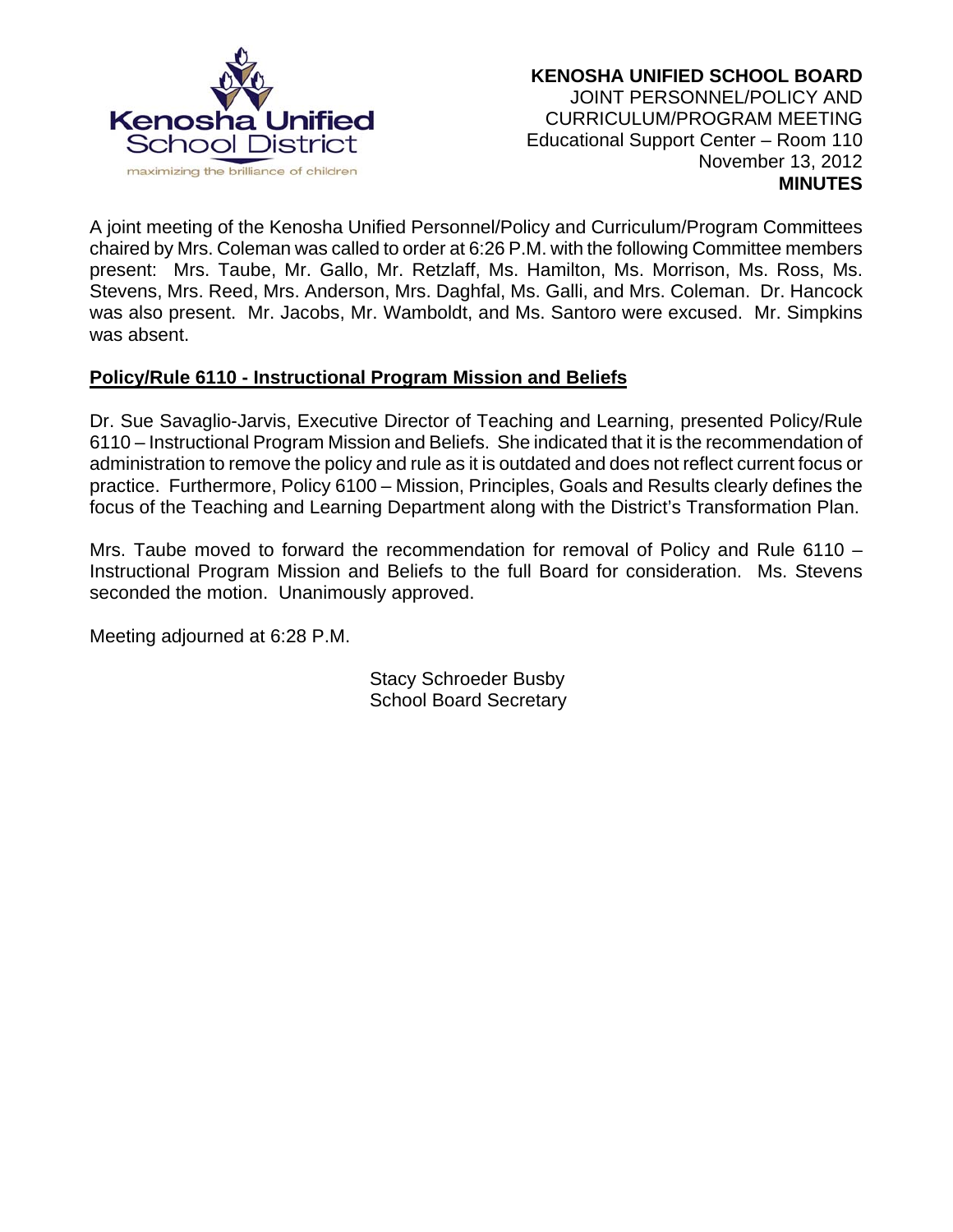

A joint meeting of the Kenosha Unified Personnel/Policy and Curriculum/Program Committees chaired by Mrs. Coleman was called to order at 6:26 P.M. with the following Committee members present: Mrs. Taube, Mr. Gallo, Mr. Retzlaff, Ms. Hamilton, Ms. Morrison, Ms. Ross, Ms. Stevens, Mrs. Reed, Mrs. Anderson, Mrs. Daghfal, Ms. Galli, and Mrs. Coleman. Dr. Hancock was also present. Mr. Jacobs, Mr. Wamboldt, and Ms. Santoro were excused. Mr. Simpkins was absent.

# **Policy/Rule 6110 - Instructional Program Mission and Beliefs**

Dr. Sue Savaglio-Jarvis, Executive Director of Teaching and Learning, presented Policy/Rule 6110 – Instructional Program Mission and Beliefs. She indicated that it is the recommendation of administration to remove the policy and rule as it is outdated and does not reflect current focus or practice. Furthermore, Policy 6100 – Mission, Principles, Goals and Results clearly defines the focus of the Teaching and Learning Department along with the District's Transformation Plan.

Mrs. Taube moved to forward the recommendation for removal of Policy and Rule 6110 – Instructional Program Mission and Beliefs to the full Board for consideration. Ms. Stevens seconded the motion. Unanimously approved.

Meeting adjourned at 6:28 P.M.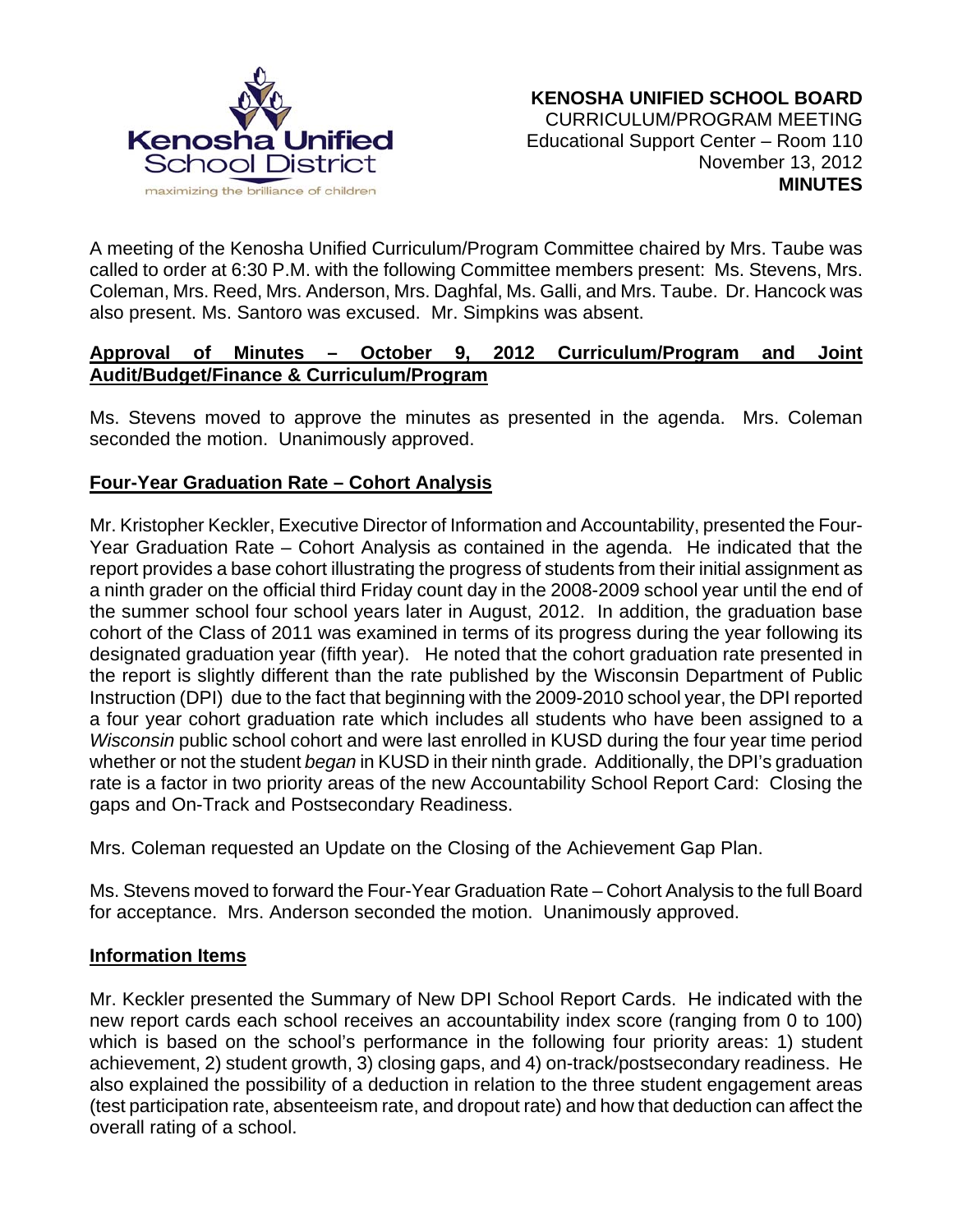

A meeting of the Kenosha Unified Curriculum/Program Committee chaired by Mrs. Taube was called to order at 6:30 P.M. with the following Committee members present: Ms. Stevens, Mrs. Coleman, Mrs. Reed, Mrs. Anderson, Mrs. Daghfal, Ms. Galli, and Mrs. Taube. Dr. Hancock was also present. Ms. Santoro was excused. Mr. Simpkins was absent.

## **Approval of Minutes – October 9, 2012 Curriculum/Program and Joint Audit/Budget/Finance & Curriculum/Program**

Ms. Stevens moved to approve the minutes as presented in the agenda. Mrs. Coleman seconded the motion. Unanimously approved.

# **Four-Year Graduation Rate – Cohort Analysis**

Mr. Kristopher Keckler, Executive Director of Information and Accountability, presented the Four-Year Graduation Rate – Cohort Analysis as contained in the agenda. He indicated that the report provides a base cohort illustrating the progress of students from their initial assignment as a ninth grader on the official third Friday count day in the 2008-2009 school year until the end of the summer school four school years later in August, 2012. In addition, the graduation base cohort of the Class of 2011 was examined in terms of its progress during the year following its designated graduation year (fifth year). He noted that the cohort graduation rate presented in the report is slightly different than the rate published by the Wisconsin Department of Public Instruction (DPI) due to the fact that beginning with the 2009-2010 school year, the DPI reported a four year cohort graduation rate which includes all students who have been assigned to a *Wisconsin* public school cohort and were last enrolled in KUSD during the four year time period whether or not the student *began* in KUSD in their ninth grade. Additionally, the DPI's graduation rate is a factor in two priority areas of the new Accountability School Report Card: Closing the gaps and On-Track and Postsecondary Readiness.

Mrs. Coleman requested an Update on the Closing of the Achievement Gap Plan.

Ms. Stevens moved to forward the Four-Year Graduation Rate – Cohort Analysis to the full Board for acceptance. Mrs. Anderson seconded the motion. Unanimously approved.

#### **Information Items**

Mr. Keckler presented the Summary of New DPI School Report Cards. He indicated with the new report cards each school receives an accountability index score (ranging from 0 to 100) which is based on the school's performance in the following four priority areas: 1) student achievement, 2) student growth, 3) closing gaps, and 4) on-track/postsecondary readiness. He also explained the possibility of a deduction in relation to the three student engagement areas (test participation rate, absenteeism rate, and dropout rate) and how that deduction can affect the overall rating of a school.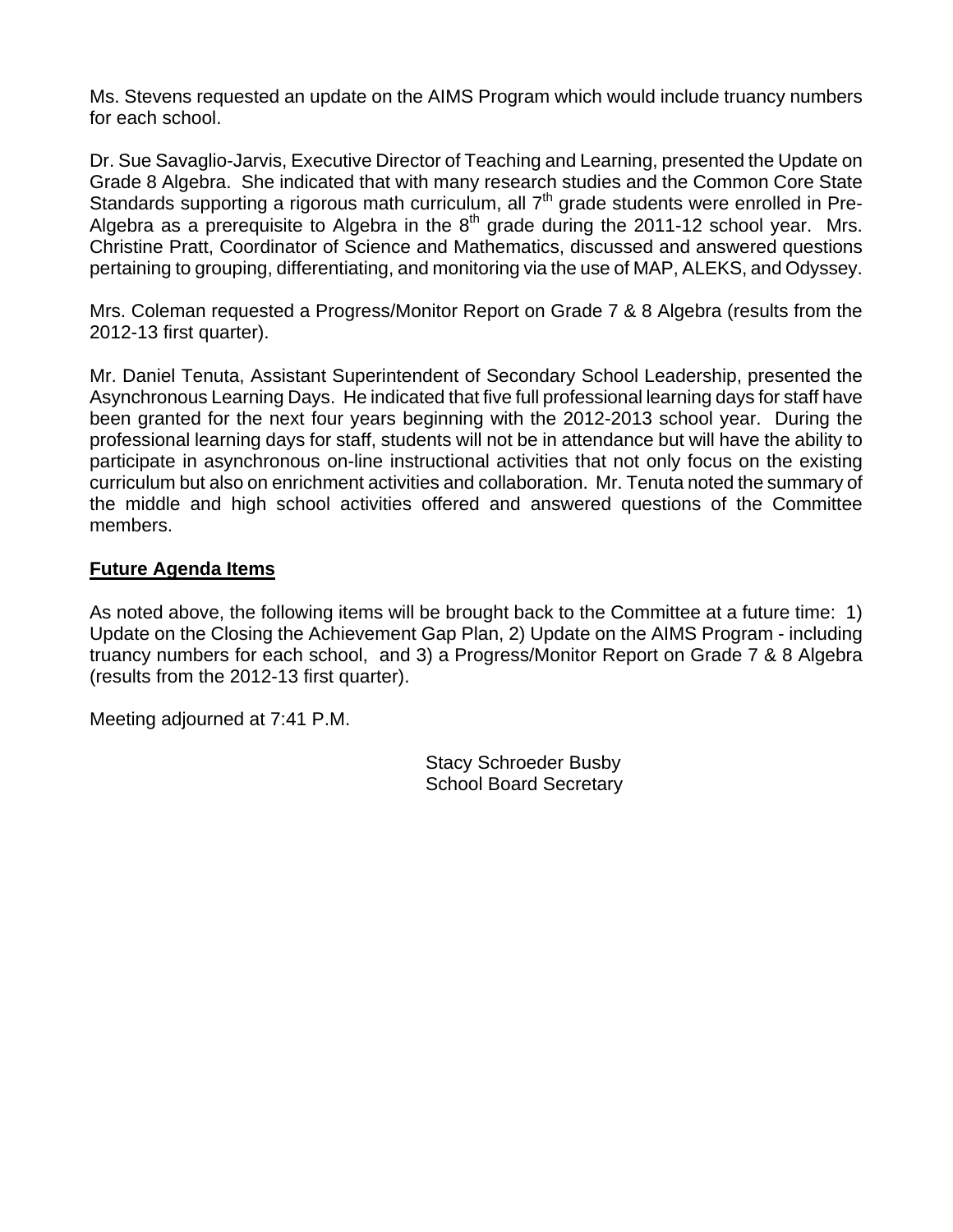Ms. Stevens requested an update on the AIMS Program which would include truancy numbers for each school.

Dr. Sue Savaglio-Jarvis, Executive Director of Teaching and Learning, presented the Update on Grade 8 Algebra. She indicated that with many research studies and the Common Core State Standards supporting a rigorous math curriculum, all 7<sup>th</sup> grade students were enrolled in Pre-Algebra as a prerequisite to Algebra in the  $8<sup>th</sup>$  grade during the 2011-12 school year. Mrs. Christine Pratt, Coordinator of Science and Mathematics, discussed and answered questions pertaining to grouping, differentiating, and monitoring via the use of MAP, ALEKS, and Odyssey.

Mrs. Coleman requested a Progress/Monitor Report on Grade 7 & 8 Algebra (results from the 2012-13 first quarter).

Mr. Daniel Tenuta, Assistant Superintendent of Secondary School Leadership, presented the Asynchronous Learning Days. He indicated that five full professional learning days for staff have been granted for the next four years beginning with the 2012-2013 school year. During the professional learning days for staff, students will not be in attendance but will have the ability to participate in asynchronous on-line instructional activities that not only focus on the existing curriculum but also on enrichment activities and collaboration. Mr. Tenuta noted the summary of the middle and high school activities offered and answered questions of the Committee members.

# **Future Agenda Items**

As noted above, the following items will be brought back to the Committee at a future time: 1) Update on the Closing the Achievement Gap Plan, 2) Update on the AIMS Program - including truancy numbers for each school, and 3) a Progress/Monitor Report on Grade 7 & 8 Algebra (results from the 2012-13 first quarter).

Meeting adjourned at 7:41 P.M.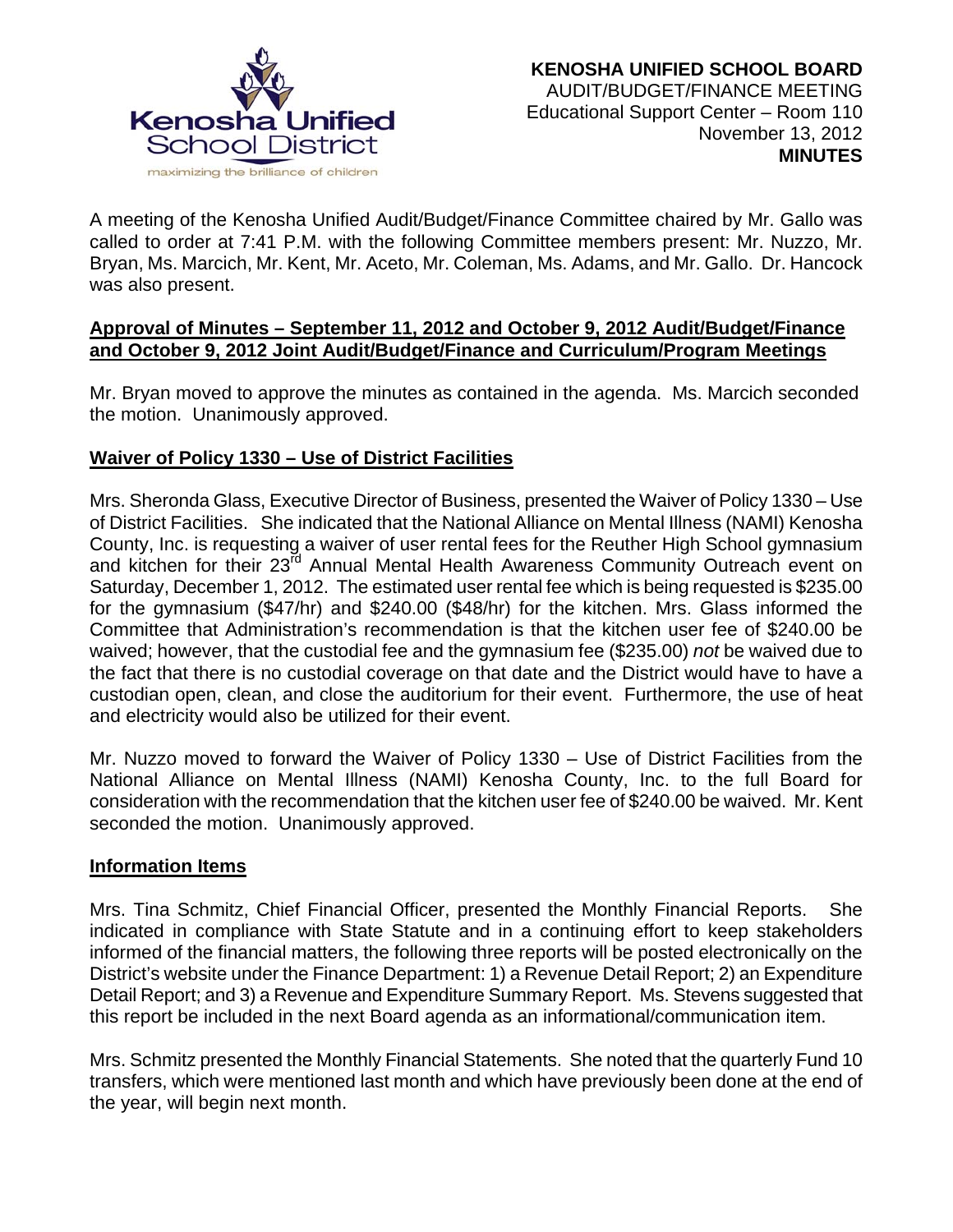

A meeting of the Kenosha Unified Audit/Budget/Finance Committee chaired by Mr. Gallo was called to order at 7:41 P.M. with the following Committee members present: Mr. Nuzzo, Mr. Bryan, Ms. Marcich, Mr. Kent, Mr. Aceto, Mr. Coleman, Ms. Adams, and Mr. Gallo. Dr. Hancock was also present.

## **Approval of Minutes – September 11, 2012 and October 9, 2012 Audit/Budget/Finance and October 9, 2012 Joint Audit/Budget/Finance and Curriculum/Program Meetings**

Mr. Bryan moved to approve the minutes as contained in the agenda. Ms. Marcich seconded the motion. Unanimously approved.

# **Waiver of Policy 1330 – Use of District Facilities**

Mrs. Sheronda Glass, Executive Director of Business, presented the Waiver of Policy 1330 – Use of District Facilities. She indicated that the National Alliance on Mental Illness (NAMI) Kenosha County, Inc. is requesting a waiver of user rental fees for the Reuther High School gymnasium and kitchen for their 23<sup>rd</sup> Annual Mental Health Awareness Community Outreach event on Saturday, December 1, 2012. The estimated user rental fee which is being requested is \$235.00 for the gymnasium (\$47/hr) and \$240.00 (\$48/hr) for the kitchen. Mrs. Glass informed the Committee that Administration's recommendation is that the kitchen user fee of \$240.00 be waived; however, that the custodial fee and the gymnasium fee (\$235.00) *not* be waived due to the fact that there is no custodial coverage on that date and the District would have to have a custodian open, clean, and close the auditorium for their event. Furthermore, the use of heat and electricity would also be utilized for their event.

Mr. Nuzzo moved to forward the Waiver of Policy 1330 – Use of District Facilities from the National Alliance on Mental Illness (NAMI) Kenosha County, Inc. to the full Board for consideration with the recommendation that the kitchen user fee of \$240.00 be waived. Mr. Kent seconded the motion. Unanimously approved.

# **Information Items**

Mrs. Tina Schmitz, Chief Financial Officer, presented the Monthly Financial Reports. She indicated in compliance with State Statute and in a continuing effort to keep stakeholders informed of the financial matters, the following three reports will be posted electronically on the District's website under the Finance Department: 1) a Revenue Detail Report; 2) an Expenditure Detail Report; and 3) a Revenue and Expenditure Summary Report. Ms. Stevens suggested that this report be included in the next Board agenda as an informational/communication item.

Mrs. Schmitz presented the Monthly Financial Statements. She noted that the quarterly Fund 10 transfers, which were mentioned last month and which have previously been done at the end of the year, will begin next month.